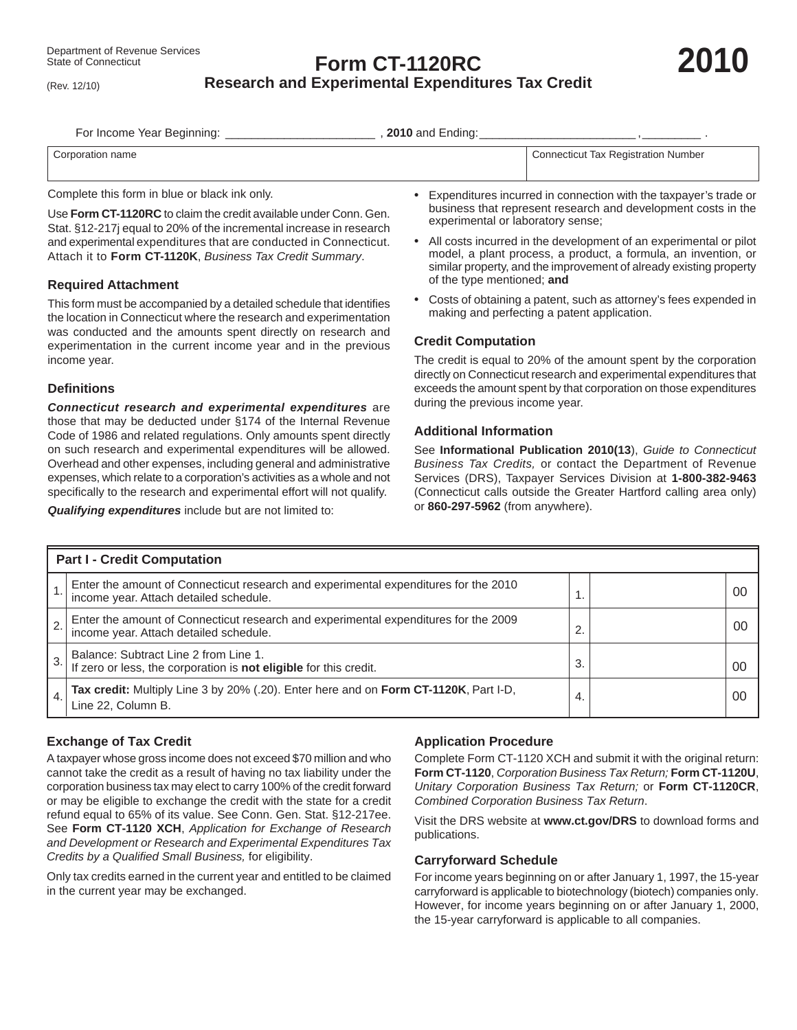(Rev. 12/10)

# **Form CT-1120RC Research and Experimental Expenditures Tax Credit**

For Income Year Beginning: \_\_\_\_\_\_\_\_\_\_\_\_\_\_\_\_\_\_\_\_\_\_\_\_\_\_\_\_\_\_\_\_\_, 2010 and Ending:

| name          | Connectium                    |
|---------------|-------------------------------|
| $.$ $\cap$ rr | 'icut Tax Registration Number |

Complete this form in blue or black ink only.

Use **Form CT-1120RC** to claim the credit available under Conn. Gen. Stat. §12-217j equal to 20% of the incremental increase in research and experimental expenditures that are conducted in Connecticut. Attach it to **Form CT-1120K**, *Business Tax Credit Summary*.

#### **Required Attachment**

This form must be accompanied by a detailed schedule that identifies the location in Connecticut where the research and experimentation was conducted and the amounts spent directly on research and experimentation in the current income year and in the previous income year.

#### **Defi nitions**

*Connecticut research and experimental expenditures* are those that may be deducted under §174 of the Internal Revenue Code of 1986 and related regulations. Only amounts spent directly on such research and experimental expenditures will be allowed. Overhead and other expenses, including general and administrative expenses, which relate to a corporation's activities as a whole and not specifically to the research and experimental effort will not qualify.

*Qualifying expenditures* include but are not limited to:

- Expenditures incurred in connection with the taxpayer's trade or business that represent research and development costs in the experimental or laboratory sense;
- All costs incurred in the development of an experimental or pilot model, a plant process, a product, a formula, an invention, or similar property, and the improvement of already existing property of the type mentioned; **and**
- Costs of obtaining a patent, such as attorney's fees expended in making and perfecting a patent application.

### **Credit Computation**

The credit is equal to 20% of the amount spent by the corporation directly on Connecticut research and experimental expenditures that exceeds the amount spent by that corporation on those expenditures during the previous income year.

#### **Additional Information**

See **Informational Publication 2010(13**), *Guide to Connecticut Business Tax Credits,* or contact the Department of Revenue Services (DRS), Taxpayer Services Division at **1-800-382-9463** (Connecticut calls outside the Greater Hartford calling area only) or **860-297-5962** (from anywhere).

| <b>Part I - Credit Computation</b> |                                                                                                                               |    |  |    |  |  |  |
|------------------------------------|-------------------------------------------------------------------------------------------------------------------------------|----|--|----|--|--|--|
|                                    | Enter the amount of Connecticut research and experimental expenditures for the 2010<br>income year. Attach detailed schedule. |    |  | 0C |  |  |  |
|                                    | Enter the amount of Connecticut research and experimental expenditures for the 2009<br>income year. Attach detailed schedule. | 2. |  | 0C |  |  |  |
| 3.                                 | Balance: Subtract Line 2 from Line 1.<br>If zero or less, the corporation is not eligible for this credit.                    | 3. |  | 00 |  |  |  |
|                                    | Tax credit: Multiply Line 3 by 20% (.20). Enter here and on Form CT-1120K, Part I-D,<br>Line 22. Column B.                    | 4. |  | 00 |  |  |  |

## **Exchange of Tax Credit**

A taxpayer whose gross income does not exceed \$70 million and who cannot take the credit as a result of having no tax liability under the corporation business tax may elect to carry 100% of the credit forward or may be eligible to exchange the credit with the state for a credit refund equal to 65% of its value. See Conn. Gen. Stat. §12-217ee. See **Form CT-1120 XCH**, *Application for Exchange of Research and Development or Research and Experimental Expenditures Tax Credits by a Qualified Small Business,* for eligibility.

Only tax credits earned in the current year and entitled to be claimed in the current year may be exchanged.

## **Application Procedure**

Complete Form CT-1120 XCH and submit it with the original return: **Form CT-1120**, *Corporation Business Tax Return;* **Form CT-1120U**, *Unitary Corporation Business Tax Return;* or **Form CT-1120CR**, *Combined Corporation Business Tax Return*.

Visit the DRS website at **www.ct.gov/DRS** to download forms and publications.

#### **Carryforward Schedule**

For income years beginning on or after January 1, 1997, the 15-year carryforward is applicable to biotechnology (biotech) companies only. However, for income years beginning on or after January 1, 2000, the 15-year carryforward is applicable to all companies.